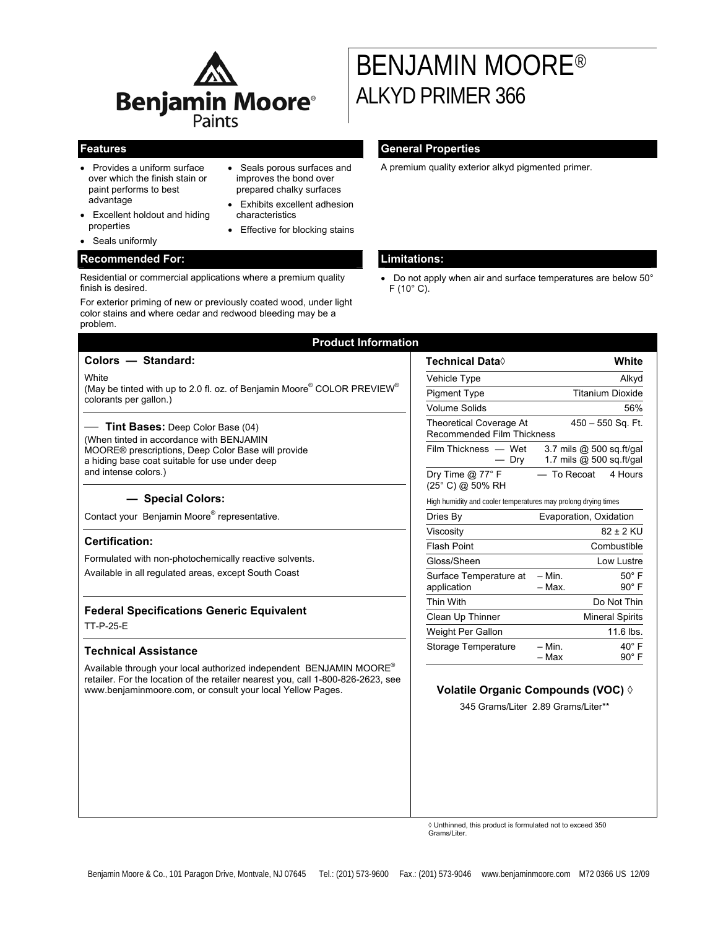

- Provides a uniform surface over which the finish stain or paint performs to best advantage
- Excellent holdout and hiding properties
- Seals uniformly

## **Recommended For: Limitations:**

Residential or commercial applications where a premium quality finish is desired.

For exterior priming of new or previously coated wood, under light color stains and where cedar and redwood bleeding may be a problem.

### • Seals porous surfaces and improves the bond over prepared chalky surfaces

- Exhibits excellent adhesion characteristics
- Effective for blocking stains

# **Features General Properties**

ALKYD PRIMER 366

A premium quality exterior alkyd pigmented primer.

BENJAMIN MOORE®

• Do not apply when air and surface temperatures are below 50° F (10° C).

| Colors - Standard:                                                                                                                                                                                                    | Technical Data◊                                                                   |                         | White                                                |
|-----------------------------------------------------------------------------------------------------------------------------------------------------------------------------------------------------------------------|-----------------------------------------------------------------------------------|-------------------------|------------------------------------------------------|
| White<br>(May be tinted with up to 2.0 fl. oz. of Benjamin Moore® COLOR PREVIEW®<br>colorants per gallon.)                                                                                                            | Vehicle Type                                                                      | Alkyd                   |                                                      |
|                                                                                                                                                                                                                       | <b>Pigment Type</b>                                                               | <b>Titanium Dioxide</b> |                                                      |
|                                                                                                                                                                                                                       | <b>Volume Solids</b>                                                              | 56%                     |                                                      |
| - Tint Bases: Deep Color Base (04)<br>(When tinted in accordance with BENJAMIN<br>MOORE® prescriptions, Deep Color Base will provide<br>a hiding base coat suitable for use under deep<br>and intense colors.)        | <b>Theoretical Coverage At</b><br>450 - 550 Sq. Ft.<br>Recommended Film Thickness |                         |                                                      |
|                                                                                                                                                                                                                       | Film Thickness - Wet<br>— Dry                                                     |                         | 3.7 mils @ 500 sq.ft/gal<br>1.7 mils @ 500 sq.ft/gal |
|                                                                                                                                                                                                                       | Dry Time $@$ 77 $^{\circ}$ F<br>(25° C) @ 50% RH                                  | - To Recoat             | 4 Hours                                              |
| - Special Colors:                                                                                                                                                                                                     | High humidity and cooler temperatures may prolong drying times                    |                         |                                                      |
| Contact your Benjamin Moore® representative.                                                                                                                                                                          | Dries By                                                                          | Evaporation, Oxidation  |                                                      |
|                                                                                                                                                                                                                       | Viscosity                                                                         |                         | 82 ± 2 KU                                            |
| <b>Certification:</b><br>Formulated with non-photochemically reactive solvents.<br>Available in all requlated areas, except South Coast                                                                               | <b>Flash Point</b>                                                                |                         | Combustible                                          |
|                                                                                                                                                                                                                       | Gloss/Sheen                                                                       |                         | Low Lustre                                           |
|                                                                                                                                                                                                                       | Surface Temperature at<br>application                                             | $-$ Min.<br>- Max.      | $50^\circ$ F<br>$90^\circ$ F                         |
| <b>Federal Specifications Generic Equivalent</b><br>TT-P-25-E                                                                                                                                                         | Thin With                                                                         |                         | Do Not Thin                                          |
|                                                                                                                                                                                                                       | Clean Up Thinner                                                                  |                         | <b>Mineral Spirits</b>                               |
|                                                                                                                                                                                                                       | Weight Per Gallon                                                                 |                         | 11.6 lbs.                                            |
| <b>Technical Assistance</b>                                                                                                                                                                                           | Storage Temperature                                                               | $- Min.$<br>– Max       | $40^\circ$ F<br>$90^\circ$ F                         |
| Available through your local authorized independent BENJAMIN MOORE®<br>retailer. For the location of the retailer nearest you, call 1-800-826-2623, see<br>www.benjaminmoore.com, or consult your local Yellow Pages. | Volatile Organic Compounds (VOC) 0<br>345 Grams/Liter 2.89 Grams/Liter**          |                         |                                                      |

◊ Unthinned, this product is formulated not to exceed 350 Grams/Liter.